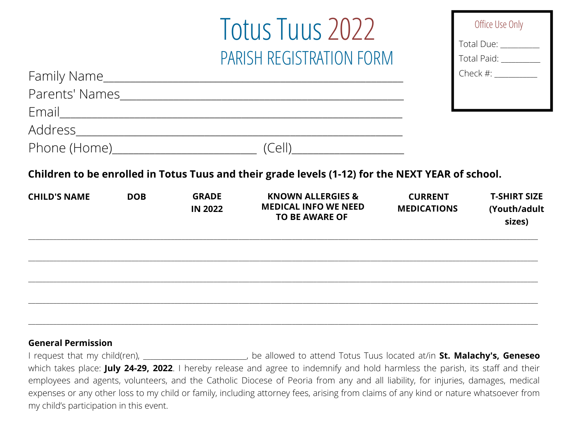# Totus Tuus 2022 PARISH REGISTRATION FORM

| Office Use Only |  |
|-----------------|--|
| Total Due:      |  |
| Total Paid:     |  |
| Check $#$ :     |  |
|                 |  |
|                 |  |

|                     |            |                                | (Cell)                                                                                           |                                      |                                               |
|---------------------|------------|--------------------------------|--------------------------------------------------------------------------------------------------|--------------------------------------|-----------------------------------------------|
|                     |            |                                | Children to be enrolled in Totus Tuus and their grade levels (1-12) for the NEXT YEAR of school. |                                      |                                               |
| <b>CHILD'S NAME</b> | <b>DOB</b> | <b>GRADE</b><br><b>IN 2022</b> | <b>KNOWN ALLERGIES &amp;</b><br><b>MEDICAL INFO WE NEED</b><br><b>TO BE AWARE OF</b>             | <b>CURRENT</b><br><b>MEDICATIONS</b> | <b>T-SHIRT SIZE</b><br>(Youth/adult<br>sizes) |
|                     |            |                                |                                                                                                  |                                      |                                               |
|                     |            |                                |                                                                                                  |                                      |                                               |
|                     |            |                                |                                                                                                  |                                      |                                               |
|                     |            |                                |                                                                                                  |                                      |                                               |

#### **General Permission**

Family Name\_\_\_\_\_\_\_\_\_\_\_\_\_\_\_\_\_\_\_\_\_\_\_\_\_\_\_\_\_\_\_\_\_\_\_\_\_\_\_\_\_\_\_\_\_\_\_\_\_\_\_\_\_\_\_\_

I request that my child(ren), \_\_\_\_\_\_\_\_\_\_\_\_\_\_\_\_\_\_\_\_\_\_\_\_\_\_\_\_\_, be allowed to attend Totus Tuus located at/in **St. Malachy's, Geneseo** which takes place: **July 24-29, 2022**. I hereby release and agree to indemnify and hold harmless the parish, its staff and their employees and agents, volunteers, and the Catholic Diocese of Peoria from any and all liability, for injuries, damages, medical expenses or any other loss to my child or family, including attorney fees, arising from claims of any kind or nature whatsoever from my child's participation in this event.

\_\_\_\_\_\_\_\_\_\_\_\_\_\_\_\_\_\_\_\_\_\_\_\_\_\_\_\_\_\_\_\_\_\_\_\_\_\_\_\_\_\_\_\_\_\_\_\_\_\_\_\_\_\_\_\_\_\_\_\_\_\_\_\_\_\_\_\_\_\_\_\_\_\_\_\_\_\_\_\_\_\_\_\_\_\_\_\_\_\_\_\_\_\_\_\_\_\_\_\_\_\_\_\_\_\_\_\_\_\_\_\_\_\_\_\_\_\_\_\_\_\_\_\_\_\_\_\_\_\_\_\_\_\_\_\_\_\_\_\_\_\_\_